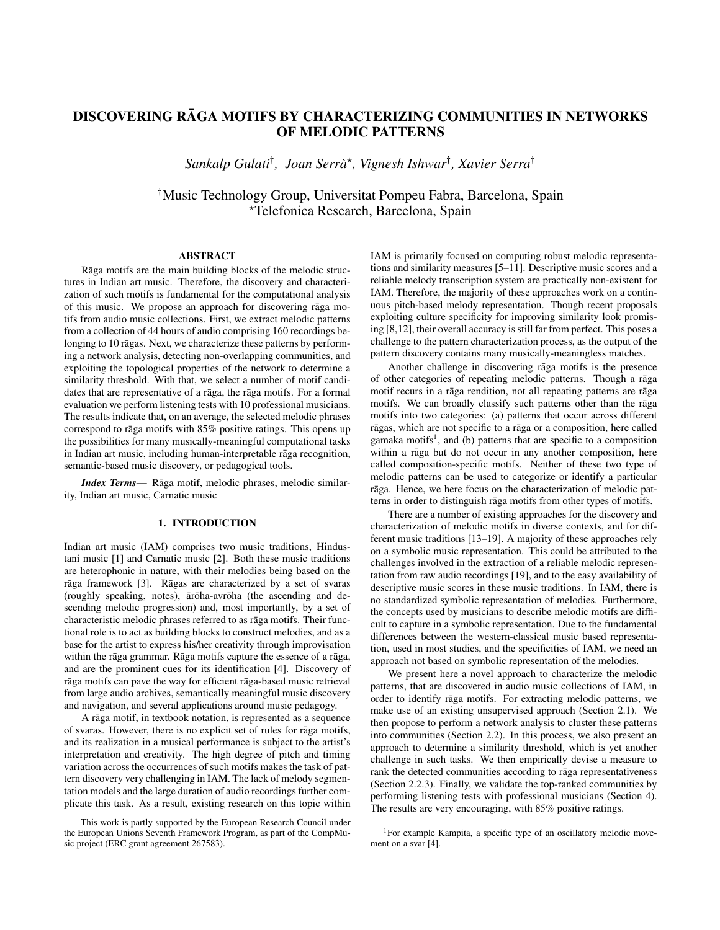# DISCOVERING RĀGA MOTIFS BY CHARACTERIZING COMMUNITIES IN NETWORKS OF MELODIC PATTERNS

*Sankalp Gulati*† *, Joan Serra`* ? *, Vignesh Ishwar*† *, Xavier Serra*†

†Music Technology Group, Universitat Pompeu Fabra, Barcelona, Spain ?Telefonica Research, Barcelona, Spain

# ABSTRACT

Rāga motifs are the main building blocks of the melodic structures in Indian art music. Therefore, the discovery and characterization of such motifs is fundamental for the computational analysis of this music. We propose an approach for discovering raga motifs from audio music collections. First, we extract melodic patterns from a collection of 44 hours of audio comprising 160 recordings belonging to 10 rāgas. Next, we characterize these patterns by performing a network analysis, detecting non-overlapping communities, and exploiting the topological properties of the network to determine a similarity threshold. With that, we select a number of motif candidates that are representative of a rāga, the rāga motifs. For a formal evaluation we perform listening tests with 10 professional musicians. The results indicate that, on an average, the selected melodic phrases correspond to raga motifs with  $85\%$  positive ratings. This opens up the possibilities for many musically-meaningful computational tasks in Indian art music, including human-interpretable rāga recognition, semantic-based music discovery, or pedagogical tools.

*Index Terms*— Rāga motif, melodic phrases, melodic similarity, Indian art music, Carnatic music

# 1. INTRODUCTION

Indian art music (IAM) comprises two music traditions, Hindustani music [1] and Carnatic music [2]. Both these music traditions are heterophonic in nature, with their melodies being based on the rāga framework [3]. Rāgas are characterized by a set of svaras (roughly speaking, notes), ārōha-avrōha (the ascending and descending melodic progression) and, most importantly, by a set of characteristic melodic phrases referred to as raga motifs. Their functional role is to act as building blocks to construct melodies, and as a base for the artist to express his/her creativity through improvisation within the rāga grammar. Rāga motifs capture the essence of a rāga, and are the prominent cues for its identification [4]. Discovery of rāga motifs can pave the way for efficient rāga-based music retrieval from large audio archives, semantically meaningful music discovery and navigation, and several applications around music pedagogy.

A rāga motif, in textbook notation, is represented as a sequence of svaras. However, there is no explicit set of rules for rāga motifs, and its realization in a musical performance is subject to the artist's interpretation and creativity. The high degree of pitch and timing variation across the occurrences of such motifs makes the task of pattern discovery very challenging in IAM. The lack of melody segmentation models and the large duration of audio recordings further complicate this task. As a result, existing research on this topic within IAM is primarily focused on computing robust melodic representations and similarity measures [5–11]. Descriptive music scores and a reliable melody transcription system are practically non-existent for IAM. Therefore, the majority of these approaches work on a continuous pitch-based melody representation. Though recent proposals exploiting culture specificity for improving similarity look promising [8,12], their overall accuracy is still far from perfect. This poses a challenge to the pattern characterization process, as the output of the pattern discovery contains many musically-meaningless matches.

Another challenge in discovering rāga motifs is the presence of other categories of repeating melodic patterns. Though a raga ¯ motif recurs in a rāga rendition, not all repeating patterns are rāga motifs. We can broadly classify such patterns other than the raga motifs into two categories: (a) patterns that occur across different rāgas, which are not specific to a rāga or a composition, here called gamaka motifs<sup>1</sup>, and (b) patterns that are specific to a composition within a rāga but do not occur in any another composition, here called composition-specific motifs. Neither of these two type of melodic patterns can be used to categorize or identify a particular rāga. Hence, we here focus on the characterization of melodic patterns in order to distinguish rāga motifs from other types of motifs.

There are a number of existing approaches for the discovery and characterization of melodic motifs in diverse contexts, and for different music traditions [13–19]. A majority of these approaches rely on a symbolic music representation. This could be attributed to the challenges involved in the extraction of a reliable melodic representation from raw audio recordings [19], and to the easy availability of descriptive music scores in these music traditions. In IAM, there is no standardized symbolic representation of melodies. Furthermore, the concepts used by musicians to describe melodic motifs are difficult to capture in a symbolic representation. Due to the fundamental differences between the western-classical music based representation, used in most studies, and the specificities of IAM, we need an approach not based on symbolic representation of the melodies.

We present here a novel approach to characterize the melodic patterns, that are discovered in audio music collections of IAM, in order to identify rāga motifs. For extracting melodic patterns, we make use of an existing unsupervised approach (Section 2.1). We then propose to perform a network analysis to cluster these patterns into communities (Section 2.2). In this process, we also present an approach to determine a similarity threshold, which is yet another challenge in such tasks. We then empirically devise a measure to rank the detected communities according to raga representativeness (Section 2.2.3). Finally, we validate the top-ranked communities by performing listening tests with professional musicians (Section 4). The results are very encouraging, with 85% positive ratings.

This work is partly supported by the European Research Council under the European Unions Seventh Framework Program, as part of the CompMusic project (ERC grant agreement 267583).

<sup>1</sup>For example Kampita, a specific type of an oscillatory melodic movement on a svar [4].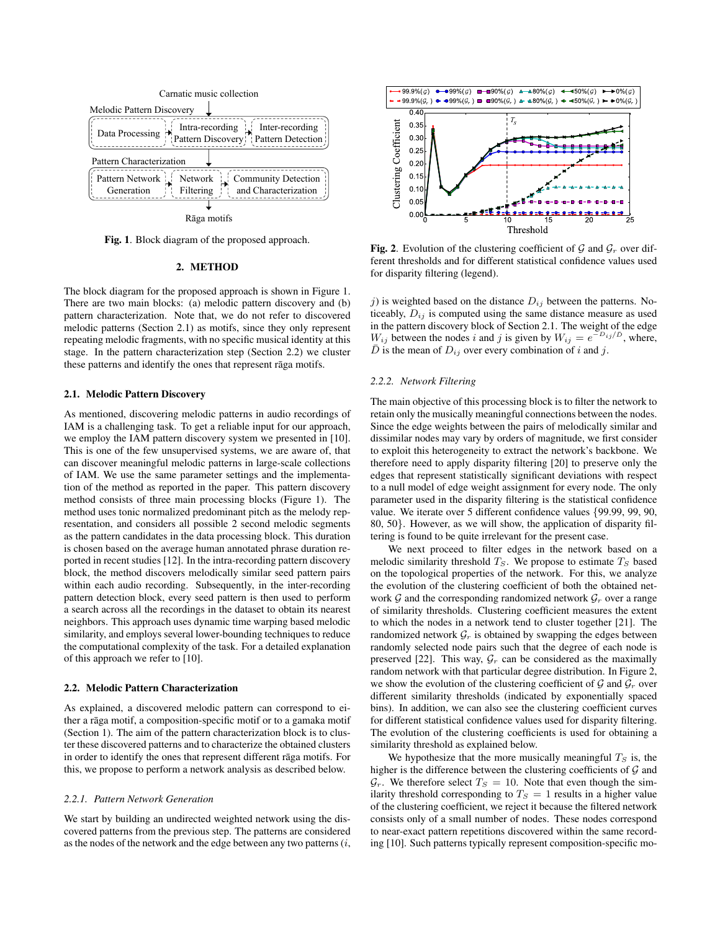

Fig. 1. Block diagram of the proposed approach.

## 2. METHOD

The block diagram for the proposed approach is shown in Figure 1. There are two main blocks: (a) melodic pattern discovery and (b) pattern characterization. Note that, we do not refer to discovered melodic patterns (Section 2.1) as motifs, since they only represent repeating melodic fragments, with no specific musical identity at this stage. In the pattern characterization step (Section 2.2) we cluster these patterns and identify the ones that represent raga motifs.

# 2.1. Melodic Pattern Discovery

As mentioned, discovering melodic patterns in audio recordings of IAM is a challenging task. To get a reliable input for our approach, we employ the IAM pattern discovery system we presented in [10]. This is one of the few unsupervised systems, we are aware of, that can discover meaningful melodic patterns in large-scale collections of IAM. We use the same parameter settings and the implementation of the method as reported in the paper. This pattern discovery method consists of three main processing blocks (Figure 1). The method uses tonic normalized predominant pitch as the melody representation, and considers all possible 2 second melodic segments as the pattern candidates in the data processing block. This duration is chosen based on the average human annotated phrase duration reported in recent studies [12]. In the intra-recording pattern discovery block, the method discovers melodically similar seed pattern pairs within each audio recording. Subsequently, in the inter-recording pattern detection block, every seed pattern is then used to perform a search across all the recordings in the dataset to obtain its nearest neighbors. This approach uses dynamic time warping based melodic similarity, and employs several lower-bounding techniques to reduce the computational complexity of the task. For a detailed explanation of this approach we refer to [10].

#### 2.2. Melodic Pattern Characterization

As explained, a discovered melodic pattern can correspond to either a rāga motif, a composition-specific motif or to a gamaka motif (Section 1). The aim of the pattern characterization block is to cluster these discovered patterns and to characterize the obtained clusters in order to identify the ones that represent different raga motifs. For this, we propose to perform a network analysis as described below.

#### *2.2.1. Pattern Network Generation*

We start by building an undirected weighted network using the discovered patterns from the previous step. The patterns are considered as the nodes of the network and the edge between any two patterns  $(i,$ 



**Fig. 2.** Evolution of the clustering coefficient of  $\mathcal{G}$  and  $\mathcal{G}_r$  over different thresholds and for different statistical confidence values used for disparity filtering (legend).

j) is weighted based on the distance  $D_{ij}$  between the patterns. Noticeably,  $D_{ij}$  is computed using the same distance measure as used in the pattern discovery block of Section 2.1. The weight of the edge  $W_{ij}$  between the nodes i and j is given by  $W_{ij} = e^{-D_{ij}/D}$ , where, D is the mean of  $D_{ij}$  over every combination of i and j.

## *2.2.2. Network Filtering*

The main objective of this processing block is to filter the network to retain only the musically meaningful connections between the nodes. Since the edge weights between the pairs of melodically similar and dissimilar nodes may vary by orders of magnitude, we first consider to exploit this heterogeneity to extract the network's backbone. We therefore need to apply disparity filtering [20] to preserve only the edges that represent statistically significant deviations with respect to a null model of edge weight assignment for every node. The only parameter used in the disparity filtering is the statistical confidence value. We iterate over 5 different confidence values {99.99, 99, 90, 80, 50}. However, as we will show, the application of disparity filtering is found to be quite irrelevant for the present case.

We next proceed to filter edges in the network based on a melodic similarity threshold  $T_S$ . We propose to estimate  $T_S$  based on the topological properties of the network. For this, we analyze the evolution of the clustering coefficient of both the obtained network  $\mathcal G$  and the corresponding randomized network  $\mathcal G_r$  over a range of similarity thresholds. Clustering coefficient measures the extent to which the nodes in a network tend to cluster together [21]. The randomized network  $\mathcal{G}_r$  is obtained by swapping the edges between randomly selected node pairs such that the degree of each node is preserved [22]. This way,  $G_r$  can be considered as the maximally random network with that particular degree distribution. In Figure 2, we show the evolution of the clustering coefficient of  $\mathcal G$  and  $\mathcal G_r$  over different similarity thresholds (indicated by exponentially spaced bins). In addition, we can also see the clustering coefficient curves for different statistical confidence values used for disparity filtering. The evolution of the clustering coefficients is used for obtaining a similarity threshold as explained below.

We hypothesize that the more musically meaningful  $T<sub>S</sub>$  is, the higher is the difference between the clustering coefficients of  $G$  and  $\mathcal{G}_r$ . We therefore select  $T_S = 10$ . Note that even though the similarity threshold corresponding to  $T_S = 1$  results in a higher value of the clustering coefficient, we reject it because the filtered network consists only of a small number of nodes. These nodes correspond to near-exact pattern repetitions discovered within the same recording [10]. Such patterns typically represent composition-specific mo-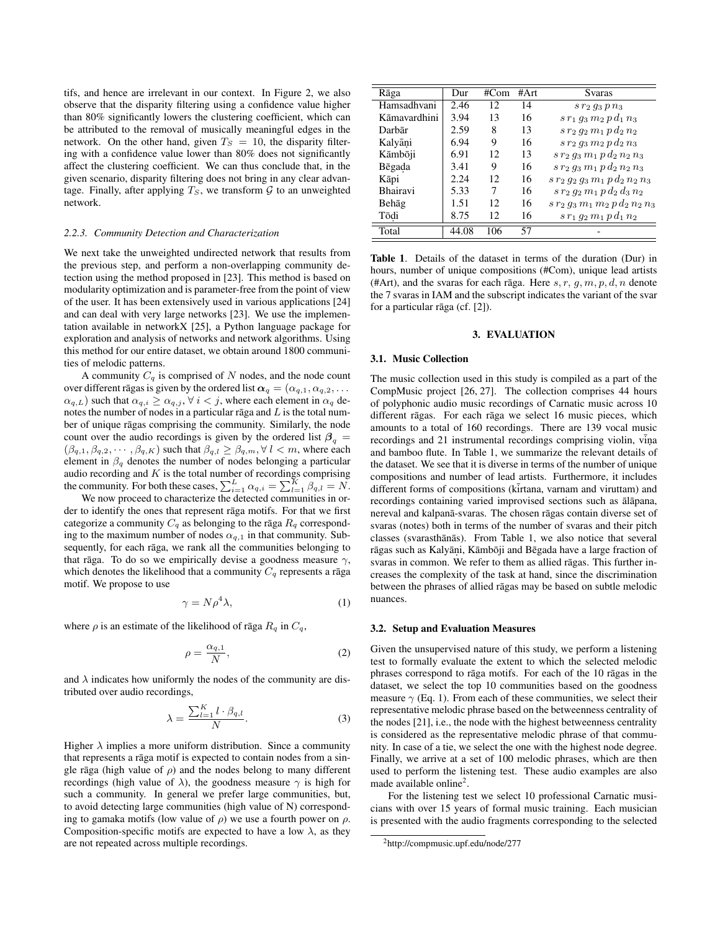tifs, and hence are irrelevant in our context. In Figure 2, we also observe that the disparity filtering using a confidence value higher than 80% significantly lowers the clustering coefficient, which can be attributed to the removal of musically meaningful edges in the network. On the other hand, given  $T<sub>S</sub> = 10$ , the disparity filtering with a confidence value lower than 80% does not significantly affect the clustering coefficient. We can thus conclude that, in the given scenario, disparity filtering does not bring in any clear advantage. Finally, after applying  $T_S$ , we transform  $G$  to an unweighted network.

#### *2.2.3. Community Detection and Characterization*

We next take the unweighted undirected network that results from the previous step, and perform a non-overlapping community detection using the method proposed in [23]. This method is based on modularity optimization and is parameter-free from the point of view of the user. It has been extensively used in various applications [24] and can deal with very large networks [23]. We use the implementation available in networkX [25], a Python language package for exploration and analysis of networks and network algorithms. Using this method for our entire dataset, we obtain around 1800 communities of melodic patterns.

A community  $C_q$  is comprised of N nodes, and the node count over different ragas is given by the ordered list  $\alpha_q = (\alpha_{q,1}, \alpha_{q,2}, \dots)$  $(\alpha_{q,L})$  such that  $\alpha_{q,i} \geq \alpha_{q,j}$ ,  $\forall i < j$ , where each element in  $\alpha_q$  denotes the number of nodes in a particular raga and  $L$  is the total number of unique rāgas comprising the community. Similarly, the node count over the audio recordings is given by the ordered list  $\beta_a$  =  $(\beta_{q,1}, \beta_{q,2}, \cdots, \beta_{q,K})$  such that  $\beta_{q,l} \geq \beta_{q,m}, \forall l < m$ , where each element in  $\beta_q$  denotes the number of nodes belonging a particular audio recording and  $K$  is the total number of recordings comprising the community. For both these cases,  $\sum_{i=1}^{L} \alpha_{q,i} = \sum_{l=1}^{K} \beta_{q,l} = N$ .

We now proceed to characterize the detected communities in order to identify the ones that represent rāga motifs. For that we first categorize a community  $C_q$  as belonging to the raga  $R_q$  corresponding to the maximum number of nodes  $\alpha_{q,1}$  in that community. Subsequently, for each rāga, we rank all the communities belonging to that raga. To do so we empirically devise a goodness measure  $\gamma$ , which denotes the likelihood that a community  $C_q$  represents a raga motif. We propose to use

$$
\gamma = N \rho^4 \lambda,\tag{1}
$$

where  $\rho$  is an estimate of the likelihood of raga  $R_q$  in  $C_q$ ,

$$
\rho = \frac{\alpha_{q,1}}{N},\tag{2}
$$

and  $\lambda$  indicates how uniformly the nodes of the community are distributed over audio recordings,

$$
\lambda = \frac{\sum_{l=1}^{K} l \cdot \beta_{q,l}}{N}.
$$
\n(3)

Higher  $\lambda$  implies a more uniform distribution. Since a community that represents a rāga motif is expected to contain nodes from a single rāga (high value of  $\rho$ ) and the nodes belong to many different recordings (high value of  $\lambda$ ), the goodness measure  $\gamma$  is high for such a community. In general we prefer large communities, but, to avoid detecting large communities (high value of N) corresponding to gamaka motifs (low value of  $\rho$ ) we use a fourth power on  $\rho$ . Composition-specific motifs are expected to have a low  $\lambda$ , as they are not repeated across multiple recordings.

| Rāga            | Dur   | #Com            | # $Arr$ | Svaras                                    |
|-----------------|-------|-----------------|---------|-------------------------------------------|
| Hamsadhvani     | 2.46  | 12              | 14      | $s r_2 q_3 p n_3$                         |
| Kāmavardhini    | 3.94  | 13              | 16      | $s r_1 q_3 m_2 p d_1 n_3$                 |
| Darbār          | 2.59  | 8               | 13      | $s r_2 q_2 m_1 p d_2 n_2$                 |
| Kalyāni         | 6.94  | 9               | 16      | $s r_2 q_3 m_2 p d_2 n_3$                 |
| Kāmbōji         | 6.91  | 12              | 13      | $s r_2 g_3 m_1 p d_2 n_2 n_3$             |
| Bēgada          | 3.41  | 9               | 16      | $s r_2 q_3 m_1 p d_2 n_2 n_3$             |
| Kāpi            | 2.24  | 12              | 16      | $s r_2 q_2 q_3 m_1 p d_2 n_2 n_3$         |
| <b>Bhairavi</b> | 5.33  | 7               | 16      | $s r_2 g_2 m_1 p d_2 d_3 n_2$             |
| Behāg           | 1.51  | 12              | 16      | $s\,r_2\,g_3\,m_1\,m_2\,p\,d_2\,n_2\,n_3$ |
| Tōdi            | 8.75  | 12 <sup>2</sup> | 16      | $s r_1 q_2 m_1 p d_1 n_2$                 |
| Total           | 44.08 | 106             | 57      |                                           |

Table 1. Details of the dataset in terms of the duration (Dur) in hours, number of unique compositions (#Com), unique lead artists (#Art), and the svaras for each raga. Here  $s, r, g, m, p, d, n$  denote the 7 svaras in IAM and the subscript indicates the variant of the svar for a particular rāga (cf.  $[2]$ ).

## 3. EVALUATION

#### 3.1. Music Collection

The music collection used in this study is compiled as a part of the CompMusic project [26, 27]. The collection comprises 44 hours of polyphonic audio music recordings of Carnatic music across 10 different rāgas. For each rāga we select 16 music pieces, which amounts to a total of 160 recordings. There are 139 vocal music recordings and 21 instrumental recordings comprising violin, vina. and bamboo flute. In Table 1, we summarize the relevant details of the dataset. We see that it is diverse in terms of the number of unique compositions and number of lead artists. Furthermore, it includes different forms of compositions (kirtana, varnam and viruttam) and recordings containing varied improvised sections such as ālāpana, nereval and kalpana-svaras. The chosen ragas contain diverse set of svaras (notes) both in terms of the number of svaras and their pitch classes (svarasthānās). From Table 1, we also notice that several rāgas such as Kalyāṇi, Kāmbōji and Bēgada have a large fraction of svaras in common. We refer to them as allied rāgas. This further increases the complexity of the task at hand, since the discrimination between the phrases of allied rāgas may be based on subtle melodic nuances.

## 3.2. Setup and Evaluation Measures

Given the unsupervised nature of this study, we perform a listening test to formally evaluate the extent to which the selected melodic phrases correspond to rāga motifs. For each of the 10 rāgas in the dataset, we select the top 10 communities based on the goodness measure  $\gamma$  (Eq. 1). From each of these communities, we select their representative melodic phrase based on the betweenness centrality of the nodes [21], i.e., the node with the highest betweenness centrality is considered as the representative melodic phrase of that community. In case of a tie, we select the one with the highest node degree. Finally, we arrive at a set of 100 melodic phrases, which are then used to perform the listening test. These audio examples are also made available online<sup>2</sup>.

For the listening test we select 10 professional Carnatic musicians with over 15 years of formal music training. Each musician is presented with the audio fragments corresponding to the selected

<sup>2</sup>http://compmusic.upf.edu/node/277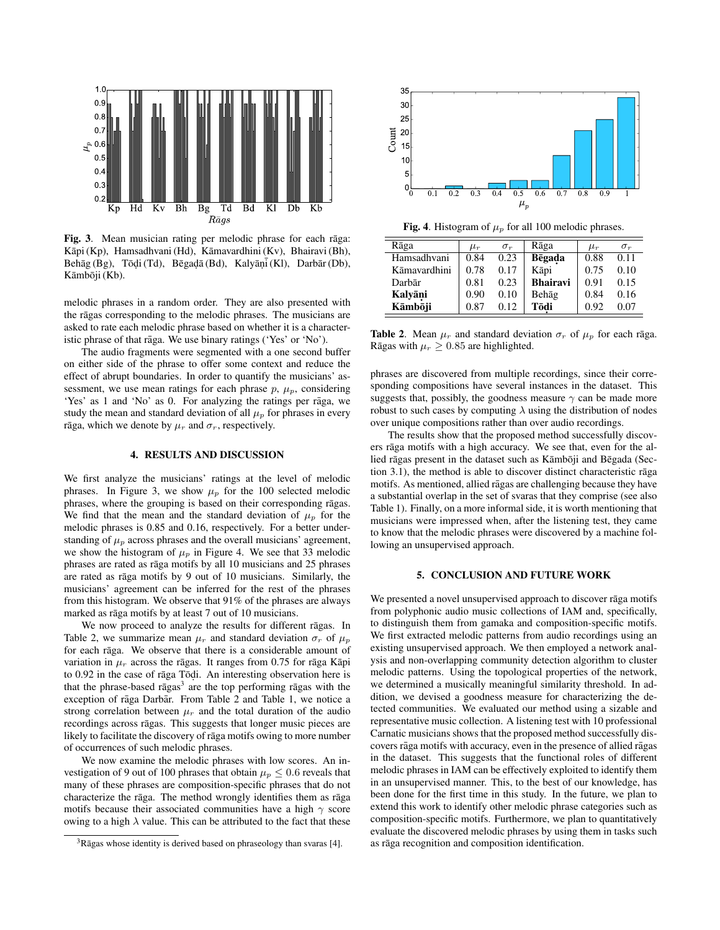

Fig. 3. Mean musician rating per melodic phrase for each raga: Kāpi (Kp), Hamsadhvani (Hd), Kāmavardhini (Kv), Bhairavi (Bh), Behāg (Bg), Tōḍi (Td), Bēgaḍā (Bd), Kalyāṇī (Kl), Darbār (Db), Kāmbōji (Kb).

melodic phrases in a random order. They are also presented with the rāgas corresponding to the melodic phrases. The musicians are asked to rate each melodic phrase based on whether it is a characteristic phrase of that raga. We use binary ratings ('Yes' or 'No').

The audio fragments were segmented with a one second buffer on either side of the phrase to offer some context and reduce the effect of abrupt boundaries. In order to quantify the musicians' assessment, we use mean ratings for each phrase  $p$ ,  $\mu_p$ , considering 'Yes' as 1 and 'No' as 0. For analyzing the ratings per raga, we study the mean and standard deviation of all  $\mu_p$  for phrases in every rāga, which we denote by  $\mu_r$  and  $\sigma_r$ , respectively.

#### 4. RESULTS AND DISCUSSION

We first analyze the musicians' ratings at the level of melodic phrases. In Figure 3, we show  $\mu_p$  for the 100 selected melodic phrases, where the grouping is based on their corresponding rāgas. We find that the mean and the standard deviation of  $\mu_p$  for the melodic phrases is 0.85 and 0.16, respectively. For a better understanding of  $\mu_p$  across phrases and the overall musicians' agreement, we show the histogram of  $\mu_p$  in Figure 4. We see that 33 melodic phrases are rated as rāga motifs by all 10 musicians and 25 phrases are rated as rāga motifs by 9 out of 10 musicians. Similarly, the musicians' agreement can be inferred for the rest of the phrases from this histogram. We observe that 91% of the phrases are always marked as rāga motifs by at least 7 out of 10 musicians.

We now proceed to analyze the results for different rāgas. In Table 2, we summarize mean  $\mu_r$  and standard deviation  $\sigma_r$  of  $\mu_p$ for each rāga. We observe that there is a considerable amount of variation in  $\mu_r$  across the ragas. It ranges from 0.75 for raga Kapi to  $0.92$  in the case of raga  $\overline{10}$ di. An interesting observation here is that the phrase-based ragas<sup>3</sup> are the top performing ragas with the exception of rāga Darbār. From Table 2 and Table 1, we notice a strong correlation between  $\mu_r$  and the total duration of the audio recordings across rāgas. This suggests that longer music pieces are likely to facilitate the discovery of rāga motifs owing to more number of occurrences of such melodic phrases.

We now examine the melodic phrases with low scores. An investigation of 9 out of 100 phrases that obtain  $\mu_p \leq 0.6$  reveals that many of these phrases are composition-specific phrases that do not characterize the rāga. The method wrongly identifies them as rāga motifs because their associated communities have a high  $\gamma$  score owing to a high  $\lambda$  value. This can be attributed to the fact that these



Fig. 4. Histogram of  $\mu_p$  for all 100 melodic phrases.

| Rāga         | $\mu_r$ | $\sigma_r$ | Rāga            | $\mu_r$ | $\sigma_r$ |
|--------------|---------|------------|-----------------|---------|------------|
| Hamsadhvani  | 0.84    | 0.23       | Bēgada          | 0.88    | 0.11       |
| Kāmavardhini | 0.78    | 0.17       | Kāpi            | 0.75    | 0.10       |
| Darbār       | 0.81    | 0.23       | <b>Bhairavi</b> | 0.91    | 0.15       |
| Kalyāni      | 0.90    | 0.10       | Behāg           | 0.84    | 0.16       |
| Kāmbōji      | 0.87    | 0.12       | Tōdi            | 0.92    | 0.07       |

Table 2. Mean  $\mu_r$  and standard deviation  $\sigma_r$  of  $\mu_p$  for each raga. Rāgas with  $\mu_r \geq 0.85$  are highlighted.

phrases are discovered from multiple recordings, since their corresponding compositions have several instances in the dataset. This suggests that, possibly, the goodness measure  $\gamma$  can be made more robust to such cases by computing  $\lambda$  using the distribution of nodes over unique compositions rather than over audio recordings.

The results show that the proposed method successfully discovers rāga motifs with a high accuracy. We see that, even for the allied rāgas present in the dataset such as Kāmbōji and Bēgada (Section 3.1), the method is able to discover distinct characteristic raga motifs. As mentioned, allied rāgas are challenging because they have a substantial overlap in the set of svaras that they comprise (see also Table 1). Finally, on a more informal side, it is worth mentioning that musicians were impressed when, after the listening test, they came to know that the melodic phrases were discovered by a machine following an unsupervised approach.

# 5. CONCLUSION AND FUTURE WORK

We presented a novel unsupervised approach to discover rāga motifs from polyphonic audio music collections of IAM and, specifically, to distinguish them from gamaka and composition-specific motifs. We first extracted melodic patterns from audio recordings using an existing unsupervised approach. We then employed a network analysis and non-overlapping community detection algorithm to cluster melodic patterns. Using the topological properties of the network, we determined a musically meaningful similarity threshold. In addition, we devised a goodness measure for characterizing the detected communities. We evaluated our method using a sizable and representative music collection. A listening test with 10 professional Carnatic musicians shows that the proposed method successfully discovers rāga motifs with accuracy, even in the presence of allied rāgas in the dataset. This suggests that the functional roles of different melodic phrases in IAM can be effectively exploited to identify them in an unsupervised manner. This, to the best of our knowledge, has been done for the first time in this study. In the future, we plan to extend this work to identify other melodic phrase categories such as composition-specific motifs. Furthermore, we plan to quantitatively evaluate the discovered melodic phrases by using them in tasks such as rāga recognition and composition identification.

 $3R\bar{a}$ gas whose identity is derived based on phraseology than svaras [4].